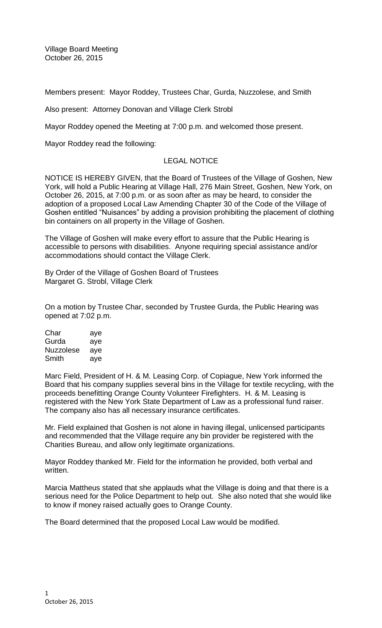Village Board Meeting October 26, 2015

Members present: Mayor Roddey, Trustees Char, Gurda, Nuzzolese, and Smith

Also present: Attorney Donovan and Village Clerk Strobl

Mayor Roddey opened the Meeting at 7:00 p.m. and welcomed those present.

Mayor Roddey read the following:

# LEGAL NOTICE

NOTICE IS HEREBY GIVEN, that the Board of Trustees of the Village of Goshen, New York, will hold a Public Hearing at Village Hall, 276 Main Street, Goshen, New York, on October 26, 2015, at 7:00 p.m. or as soon after as may be heard, to consider the adoption of a proposed Local Law Amending Chapter 30 of the Code of the Village of Goshen entitled "Nuisances" by adding a provision prohibiting the placement of clothing bin containers on all property in the Village of Goshen.

The Village of Goshen will make every effort to assure that the Public Hearing is accessible to persons with disabilities. Anyone requiring special assistance and/or accommodations should contact the Village Clerk.

By Order of the Village of Goshen Board of Trustees Margaret G. Strobl, Village Clerk

On a motion by Trustee Char, seconded by Trustee Gurda, the Public Hearing was opened at 7:02 p.m.

| Char             | aye |
|------------------|-----|
| Gurda            | aye |
| <b>Nuzzolese</b> | aye |
| Smith            | aye |

Marc Field, President of H. & M. Leasing Corp. of Copiague, New York informed the Board that his company supplies several bins in the Village for textile recycling, with the proceeds benefitting Orange County Volunteer Firefighters. H. & M. Leasing is registered with the New York State Department of Law as a professional fund raiser. The company also has all necessary insurance certificates.

Mr. Field explained that Goshen is not alone in having illegal, unlicensed participants and recommended that the Village require any bin provider be registered with the Charities Bureau, and allow only legitimate organizations.

Mayor Roddey thanked Mr. Field for the information he provided, both verbal and written.

Marcia Mattheus stated that she applauds what the Village is doing and that there is a serious need for the Police Department to help out. She also noted that she would like to know if money raised actually goes to Orange County.

The Board determined that the proposed Local Law would be modified.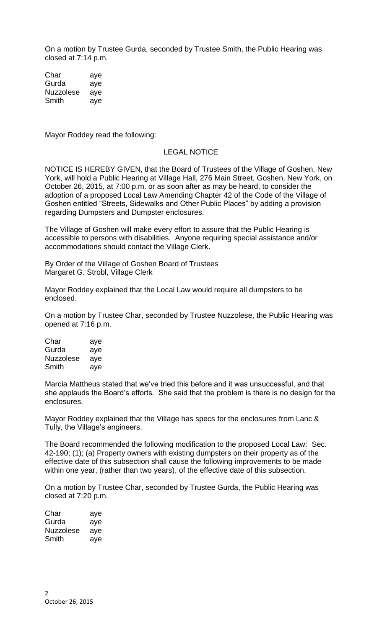On a motion by Trustee Gurda, seconded by Trustee Smith, the Public Hearing was closed at 7:14 p.m.

Char aye Gurda aye Nuzzolese aye Smith aye

Mayor Roddey read the following:

## LEGAL NOTICE

NOTICE IS HEREBY GIVEN, that the Board of Trustees of the Village of Goshen, New York, will hold a Public Hearing at Village Hall, 276 Main Street, Goshen, New York, on October 26, 2015, at 7:00 p.m. or as soon after as may be heard, to consider the adoption of a proposed Local Law Amending Chapter 42 of the Code of the Village of Goshen entitled "Streets, Sidewalks and Other Public Places" by adding a provision regarding Dumpsters and Dumpster enclosures.

The Village of Goshen will make every effort to assure that the Public Hearing is accessible to persons with disabilities. Anyone requiring special assistance and/or accommodations should contact the Village Clerk.

By Order of the Village of Goshen Board of Trustees Margaret G. Strobl, Village Clerk

Mayor Roddey explained that the Local Law would require all dumpsters to be enclosed.

On a motion by Trustee Char, seconded by Trustee Nuzzolese, the Public Hearing was opened at 7:16 p.m.

Char aye Gurda aye Nuzzolese aye Smith aye

Marcia Mattheus stated that we've tried this before and it was unsuccessful, and that she applauds the Board's efforts. She said that the problem is there is no design for the enclosures.

Mayor Roddey explained that the Village has specs for the enclosures from Lanc & Tully, the Village's engineers.

The Board recommended the following modification to the proposed Local Law: Sec. 42-190; (1); (a) Property owners with existing dumpsters on their property as of the effective date of this subsection shall cause the following improvements to be made within one year, (rather than two years), of the effective date of this subsection.

On a motion by Trustee Char, seconded by Trustee Gurda, the Public Hearing was closed at 7:20 p.m.

| Char             | aye |
|------------------|-----|
| Gurda            | aye |
| <b>Nuzzolese</b> | aye |
| Smith            | aye |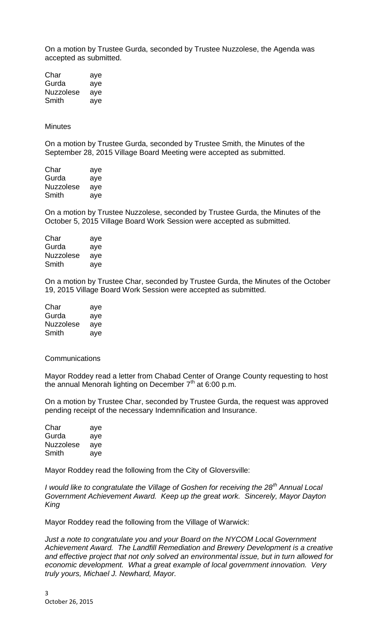On a motion by Trustee Gurda, seconded by Trustee Nuzzolese, the Agenda was accepted as submitted.

Char aye Gurda aye Nuzzolese aye Smith aye

**Minutes** 

On a motion by Trustee Gurda, seconded by Trustee Smith, the Minutes of the September 28, 2015 Village Board Meeting were accepted as submitted.

| Char      | aye |
|-----------|-----|
| Gurda     | aye |
| Nuzzolese | aye |
| Smith     | aye |

On a motion by Trustee Nuzzolese, seconded by Trustee Gurda, the Minutes of the October 5, 2015 Village Board Work Session were accepted as submitted.

| Char             | aye |
|------------------|-----|
| Gurda            | aye |
| <b>Nuzzolese</b> | aye |
| Smith            | aye |

On a motion by Trustee Char, seconded by Trustee Gurda, the Minutes of the October 19, 2015 Village Board Work Session were accepted as submitted.

| Char             | aye |
|------------------|-----|
| Gurda            | aye |
| <b>Nuzzolese</b> | aye |
| Smith            | aye |

#### Communications

Mayor Roddey read a letter from Chabad Center of Orange County requesting to host the annual Menorah lighting on December  $7<sup>th</sup>$  at 6:00 p.m.

On a motion by Trustee Char, seconded by Trustee Gurda, the request was approved pending receipt of the necessary Indemnification and Insurance.

| Char      | aye |
|-----------|-----|
| Gurda     | aye |
| Nuzzolese | aye |
| Smith     | aye |

Mayor Roddey read the following from the City of Gloversville:

*I would like to congratulate the Village of Goshen for receiving the 28th Annual Local Government Achievement Award. Keep up the great work. Sincerely, Mayor Dayton King*

Mayor Roddey read the following from the Village of Warwick:

*Just a note to congratulate you and your Board on the NYCOM Local Government Achievement Award. The Landfill Remediation and Brewery Development is a creative and effective project that not only solved an environmental issue, but in turn allowed for economic development. What a great example of local government innovation. Very truly yours, Michael J. Newhard, Mayor.*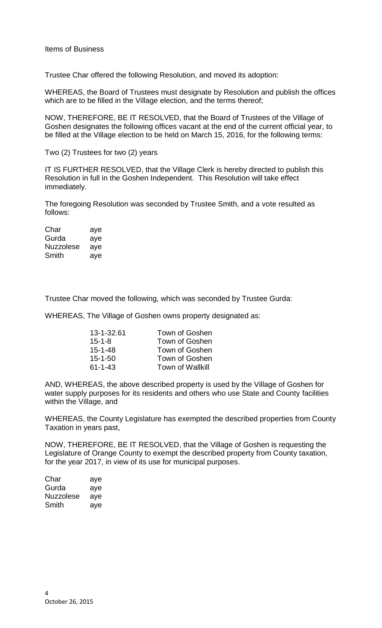Trustee Char offered the following Resolution, and moved its adoption:

WHEREAS, the Board of Trustees must designate by Resolution and publish the offices which are to be filled in the Village election, and the terms thereof;

NOW, THEREFORE, BE IT RESOLVED, that the Board of Trustees of the Village of Goshen designates the following offices vacant at the end of the current official year, to be filled at the Village election to be held on March 15, 2016, for the following terms:

Two (2) Trustees for two (2) years

IT IS FURTHER RESOLVED, that the Village Clerk is hereby directed to publish this Resolution in full in the Goshen Independent. This Resolution will take effect immediately.

The foregoing Resolution was seconded by Trustee Smith, and a vote resulted as follows:

Char aye Gurda aye Nuzzolese aye Smith aye

Trustee Char moved the following, which was seconded by Trustee Gurda:

WHEREAS, The Village of Goshen owns property designated as:

| 13-1-32.61    | Town of Goshen          |
|---------------|-------------------------|
| $15 - 1 - 8$  | Town of Goshen          |
| $15 - 1 - 48$ | Town of Goshen          |
| $15 - 1 - 50$ | Town of Goshen          |
| $61 - 1 - 43$ | <b>Town of Wallkill</b> |

AND, WHEREAS, the above described property is used by the Village of Goshen for water supply purposes for its residents and others who use State and County facilities within the Village, and

WHEREAS, the County Legislature has exempted the described properties from County Taxation in years past,

NOW, THEREFORE, BE IT RESOLVED, that the Village of Goshen is requesting the Legislature of Orange County to exempt the described property from County taxation, for the year 2017, in view of its use for municipal purposes.

| Char      | aye |
|-----------|-----|
| Gurda     | aye |
| Nuzzolese | aye |
| Smith     | ave |